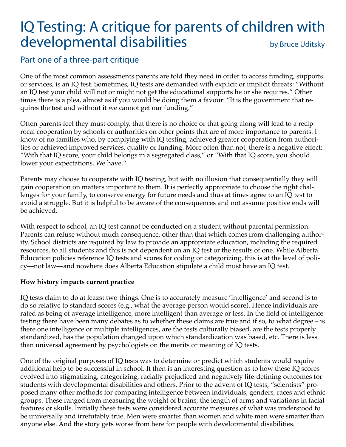# IQ Testing: A critique for parents of children with developmental disabilities by Bruce Uditsky

### Part one of a three-part critique

One of the most common assessments parents are told they need in order to access funding, supports or services, is an IQ test. Sometimes, IQ tests are demanded with explicit or implicit threats: "Without an IQ test your child will not or might not get the educational supports he or she requires." Other times there is a plea, almost as if you would be doing them a favour: "It is the government that requires the test and without it we cannot get our funding."

Often parents feel they must comply, that there is no choice or that going along will lead to a reciprocal cooperation by schools or authorities on other points that are of more importance to parents. I know of no families who, by complying with IQ testing, achieved greater cooperation from authorities or achieved improved services, quality or funding. More often than not, there is a negative effect: "With that IQ score, your child belongs in a segregated class," or "With that IQ score, you should lower your expectations. We have."

Parents may choose to cooperate with IQ testing, but with no illusion that consequentially they will gain cooperation on matters important to them. It is perfectly appropriate to choose the right challenges for your family, to conserve energy for future needs and thus at times agree to an IQ test to avoid a struggle. But it is helpful to be aware of the consequences and not assume positive ends will be achieved.

With respect to school, an IQ test cannot be conducted on a student without parental permission. Parents can refuse without much consequence, other than that which comes from challenging authority. School districts are required by law to provide an appropriate education, including the required resources, to all students and this is not dependent on an IQ test or the results of one. While Alberta Education policies reference IQ tests and scores for coding or categorizing, this is at the level of policy—not law—and nowhere does Alberta Education stipulate a child must have an IQ test.

#### **How history impacts current practice**

IQ tests claim to do at leazst two things. One is to accurately measure 'intelligence' and second is to do so relative to standard scores (e.g., what the average person would score). Hence individuals are rated as being of average intelligence, more intelligent than average or less. In the field of intelligence testing there have been many debates as to whether these claims are true and if so, to what degree – is there one intelligence or multiple intelligences, are the tests culturally biased, are the tests properly standardized, has the population changed upon which standardization was based, etc. There is less than universal agreement by psychologists on the merits or meaning of IQ tests.

One of the original purposes of IQ tests was to determine or predict which students would require additional help to be successful in school. It then is an interesting question as to how these IQ scores evolved into stigmatizing, categorizing, racially prejudiced and negatively life-defining outcomes for students with developmental disabilities and others. Prior to the advent of IQ tests, "scientists" proposed many other methods for comparing intelligence between individuals, genders, races and ethnic groups. These ranged from measuring the weight of brains, the length of arms and variations in facial features or skulls. Initially these tests were considered accurate measures of what was understood to be universally and irrefutably true. Men were smarter than women and white men were smarter than anyone else. And the story gets worse from here for people with developmental disabilities.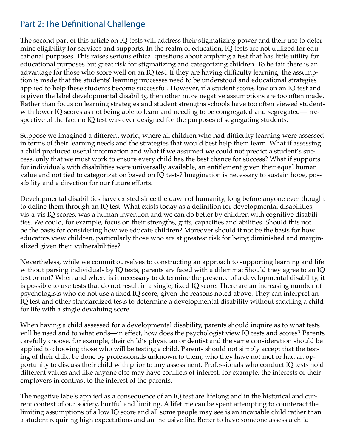## Part 2: The Definitional Challenge

The second part of this article on IQ tests will address their stigmatizing power and their use to determine eligibility for services and supports. In the realm of education, IQ tests are not utilized for educational purposes. This raises serious ethical questions about applying a test that has little utility for educational purposes but great risk for stigmatizing and categorizing children. To be fair there is an advantage for those who score well on an IQ test. If they are having difficulty learning, the assumption is made that the students' learning processes need to be understood and educational strategies applied to help these students become successful. However, if a student scores low on an IQ test and is given the label developmental disability, then other more negative assumptions are too often made. Rather than focus on learning strategies and student strengths schools have too often viewed students with lower IQ scores as not being able to learn and needing to be congregated and segregated—irrespective of the fact no IQ test was ever designed for the purposes of segregating students.

Suppose we imagined a different world, where all children who had difficulty learning were assessed in terms of their learning needs and the strategies that would best help them learn. What if assessing a child produced useful information and what if we assumed we could not predict a student's success, only that we must work to ensure every child has the best chance for success? What if supports for individuals with disabilities were universally available, an entitlement given their equal human value and not tied to categorization based on IQ tests? Imagination is necessary to sustain hope, possibility and a direction for our future efforts.

Developmental disabilities have existed since the dawn of humanity, long before anyone ever thought to define them through an IQ test. What exists today as a definition for developmental disabilities, vis-a-vis IQ scores, was a human invention and we can do better by children with cognitive disabilities. We could, for example, focus on their strengths, gifts, capacities and abilities. Should this not be the basis for considering how we educate children? Moreover should it not be the basis for how educators view children, particularly those who are at greatest risk for being diminished and marginalized given their vulnerabilities?

Nevertheless, while we commit ourselves to constructing an approach to supporting learning and life without parsing individuals by IQ tests, parents are faced with a dilemma: Should they agree to an IQ test or not? When and where is it necessary to determine the presence of a developmental disability, it is possible to use tests that do not result in a single, fixed IQ score. There are an increasing number of psychologists who do not use a fixed IQ score, given the reasons noted above. They can interpret an IQ test and other standardized tests to determine a developmental disability without saddling a child for life with a single devaluing score.

When having a child assessed for a developmental disability, parents should inquire as to what tests will be used and to what ends—in effect, how does the psychologist view IQ tests and scores? Parents carefully choose, for example, their child's physician or dentist and the same consideration should be applied to choosing those who will be testing a child. Parents should not simply accept that the testing of their child be done by professionals unknown to them, who they have not met or had an opportunity to discuss their child with prior to any assessment. Professionals who conduct IQ tests hold different values and like anyone else may have conflicts of interest; for example, the interests of their employers in contrast to the interest of the parents.

The negative labels applied as a consequence of an IQ test are lifelong and in the historical and current context of our society, hurtful and limiting. A lifetime can be spent attempting to counteract the limiting assumptions of a low IQ score and all some people may see is an incapable child rather than a student requiring high expectations and an inclusive life. Better to have someone assess a child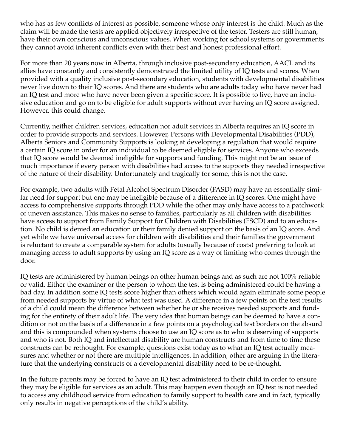who has as few conflicts of interest as possible, someone whose only interest is the child. Much as the claim will be made the tests are applied objectively irrespective of the tester. Testers are still human, have their own conscious and unconscious values. When working for school systems or governments they cannot avoid inherent conflicts even with their best and honest professional effort.

For more than 20 years now in Alberta, through inclusive post-secondary education, AACL and its allies have constantly and consistently demonstrated the limited utility of IQ tests and scores. When provided with a quality inclusive post-secondary education, students with developmental disabilities never live down to their IQ scores. And there are students who are adults today who have never had an IQ test and more who have never been given a specific score. It is possible to live, have an inclusive education and go on to be eligible for adult supports without ever having an IQ score assigned. However, this could change.

Currently, neither children services, education nor adult services in Alberta requires an IQ score in order to provide supports and services. However, Persons with Developmental Disabilities (PDD), Alberta Seniors and Community Supports is looking at developing a regulation that would require a certain IQ score in order for an individual to be deemed eligible for services. Anyone who exceeds that IQ score would be deemed ineligible for supports and funding. This might not be an issue of much importance if every person with disabilities had access to the supports they needed irrespective of the nature of their disability. Unfortunately and tragically for some, this is not the case.

For example, two adults with Fetal Alcohol Spectrum Disorder (FASD) may have an essentially similar need for support but one may be ineligible because of a difference in IQ scores. One might have access to comprehensive supports through PDD while the other may only have access to a patchwork of uneven assistance. This makes no sense to families, particularly as all children with disabilities have access to support from Family Support for Children with Disabilities (FSCD) and to an education. No child is denied an education or their family denied support on the basis of an IQ score. And yet while we have universal access for children with disabilities and their families the government is reluctant to create a comparable system for adults (usually because of costs) preferring to look at managing access to adult supports by using an IQ score as a way of limiting who comes through the door.

IQ tests are administered by human beings on other human beings and as such are not 100% reliable or valid. Either the examiner or the person to whom the test is being administered could be having a bad day. In addition some IQ tests score higher than others which would again eliminate some people from needed supports by virtue of what test was used. A difference in a few points on the test results of a child could mean the difference between whether he or she receives needed supports and funding for the entirety of their adult life. The very idea that human beings can be deemed to have a condition or not on the basis of a difference in a few points on a psychological test borders on the absurd and this is compounded when systems choose to use an IQ score as to who is deserving of supports and who is not. Both IQ and intellectual disability are human constructs and from time to time these constructs can be rethought. For example, questions exist today as to what an IQ test actually measures and whether or not there are multiple intelligences. In addition, other are arguing in the literature that the underlying constructs of a developmental disability need to be re-thought.

In the future parents may be forced to have an IQ test administered to their child in order to ensure they may be eligible for services as an adult. This may happen even though an IQ test is not needed to access any childhood service from education to family support to health care and in fact, typically only results in negative perceptions of the child's ability.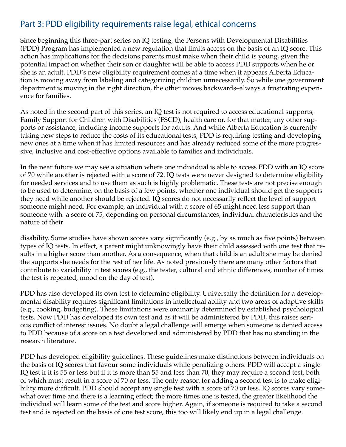## Part 3: PDD eligibility requirements raise legal, ethical concerns

Since beginning this three-part series on IQ testing, the Persons with Developmental Disabilities (PDD) Program has implemented a new regulation that limits access on the basis of an IQ score. This action has implications for the decisions parents must make when their child is young, given the potential impact on whether their son or daughter will be able to access PDD supports when he or she is an adult. PDD's new eligibility requirement comes at a time when it appears Alberta Education is moving away from labeling and categorizing children unnecessarily. So while one government department is moving in the right direction, the other moves backwards–always a frustrating experience for families.

As noted in the second part of this series, an IQ test is not required to access educational supports, Family Support for Children with Disabilities (FSCD), health care or, for that matter, any other supports or assistance, including income supports for adults. And while Alberta Education is currently taking new steps to reduce the costs of its educational tests, PDD is requiring testing and developing new ones at a time when it has limited resources and has already reduced some of the more progressive, inclusive and cost-effective options available to families and individuals.

In the near future we may see a situation where one individual is able to access PDD with an IQ score of 70 while another is rejected with a score of 72. IQ tests were never designed to determine eligibility for needed services and to use them as such is highly problematic. These tests are not precise enough to be used to determine, on the basis of a few points, whether one individual should get the supports they need while another should be rejected. IQ scores do not necessarily reflect the level of support someone might need. For example, an individual with a score of 65 might need less support than someone with a score of 75, depending on personal circumstances, individual characteristics and the nature of their

disability. Some studies have shown scores vary significantly (e.g., by as much as five points) between types of IQ tests. In effect, a parent might unknowingly have their child assessed with one test that results in a higher score than another. As a consequence, when that child is an adult she may be denied the supports she needs for the rest of her life. As noted previously there are many other factors that contribute to variability in test scores (e.g., the tester, cultural and ethnic differences, number of times the test is repeated, mood on the day of test).

PDD has also developed its own test to determine eligibility. Universally the definition for a developmental disability requires significant limitations in intellectual ability and two areas of adaptive skills (e.g., cooking, budgeting). These limitations were ordinarily determined by established psychological tests. Now PDD has developed its own test and as it will be administered by PDD, this raises serious conflict of interest issues. No doubt a legal challenge will emerge when someone is denied access to PDD because of a score on a test developed and administered by PDD that has no standing in the research literature.

PDD has developed eligibility guidelines. These guidelines make distinctions between individuals on the basis of IQ scores that favour some individuals while penalizing others. PDD will accept a single IQ test if it is 55 or less but if it is more than 55 and less than 70, they may require a second test, both of which must result in a score of 70 or less. The only reason for adding a second test is to make eligibility more difficult. PDD should accept any single test with a score of 70 or less. IQ scores vary somewhat over time and there is a learning effect; the more times one is tested, the greater likelihood the individual will learn some of the test and score higher. Again, if someone is required to take a second test and is rejected on the basis of one test score, this too will likely end up in a legal challenge.